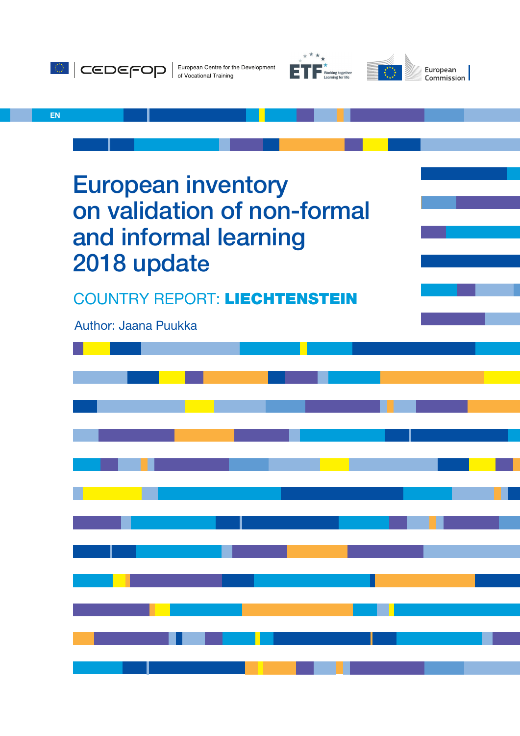





EN

European inventory on validation of non-formal and informal learning 2018 update

COUNTRY REPORT: LIECHTENSTEIN

Author: Jaana Puukka

| a se de la construcción de la construcción de la construcción de la construcción de la construcción de la cons<br>A la construcción de la construcción de la construcción de la construcción de la construcción de la construcci |  |  |  |  |  |  |  |
|----------------------------------------------------------------------------------------------------------------------------------------------------------------------------------------------------------------------------------|--|--|--|--|--|--|--|
|                                                                                                                                                                                                                                  |  |  |  |  |  |  |  |
| <u> 1980 - Antonio Alemania, prima postala de la provincia de la contrada de la provincia de la provincia de la p</u>                                                                                                            |  |  |  |  |  |  |  |
| <u> 1980 - Johann Barn, marwolaethau a gwrai</u>                                                                                                                                                                                 |  |  |  |  |  |  |  |
|                                                                                                                                                                                                                                  |  |  |  |  |  |  |  |
|                                                                                                                                                                                                                                  |  |  |  |  |  |  |  |
|                                                                                                                                                                                                                                  |  |  |  |  |  |  |  |
|                                                                                                                                                                                                                                  |  |  |  |  |  |  |  |
| <u> 1989 - Andrea San Aonaichte ann an Caobh an t-</u>                                                                                                                                                                           |  |  |  |  |  |  |  |
| <u> 1989 - Johann Barnett, mars et al. 1989 - Anna ann an t-Anna ann an t-Anna ann an t-Anna ann an t-Anna ann an</u>                                                                                                            |  |  |  |  |  |  |  |
|                                                                                                                                                                                                                                  |  |  |  |  |  |  |  |
|                                                                                                                                                                                                                                  |  |  |  |  |  |  |  |
| a se de la constitución de la constitución de la constitución de la constitución de la constitución de la cons                                                                                                                   |  |  |  |  |  |  |  |
|                                                                                                                                                                                                                                  |  |  |  |  |  |  |  |
| a de la constitución de la constitución de la constitución de la constitución de la constitución de la constit<br>A la constitución de la constitución de la constitución de la constitución de la constitución de la constituci |  |  |  |  |  |  |  |
|                                                                                                                                                                                                                                  |  |  |  |  |  |  |  |
|                                                                                                                                                                                                                                  |  |  |  |  |  |  |  |
|                                                                                                                                                                                                                                  |  |  |  |  |  |  |  |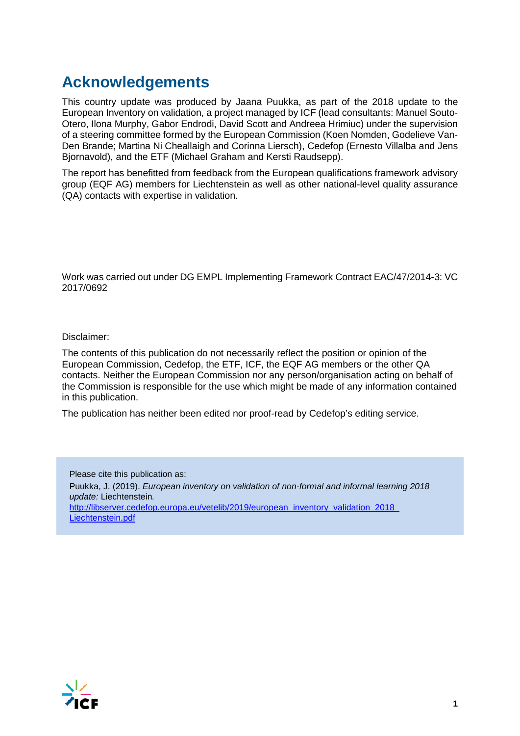# **Acknowledgements**

This country update was produced by Jaana Puukka, as part of the 2018 update to the European Inventory on validation, a project managed by ICF (lead consultants: Manuel Souto-Otero, Ilona Murphy, Gabor Endrodi, David Scott and Andreea Hrimiuc) under the supervision of a steering committee formed by the European Commission (Koen Nomden, Godelieve Van-Den Brande; Martina Ni Cheallaigh and Corinna Liersch), Cedefop (Ernesto Villalba and Jens Bjornavold), and the ETF (Michael Graham and Kersti Raudsepp).

The report has benefitted from feedback from the European qualifications framework advisory group (EQF AG) members for Liechtenstein as well as other national-level quality assurance (QA) contacts with expertise in validation.

Work was carried out under DG EMPL Implementing Framework Contract EAC/47/2014-3: VC 2017/0692

Disclaimer:

The contents of this publication do not necessarily reflect the position or opinion of the European Commission, Cedefop, the ETF, ICF, the EQF AG members or the other QA contacts. Neither the European Commission nor any person/organisation acting on behalf of the Commission is responsible for the use which might be made of any information contained in this publication.

The publication has neither been edited nor proof-read by Cedefop's editing service.

Please cite this publication as: Puukka, J. (2019). *European inventory on validation of non-formal and informal learning 2018 update:* Liechtenstein*.*  [http://libserver.cedefop.europa.eu/vetelib/2019/european\\_inventory\\_validation\\_2018\\_](http://libserver.cedefop.europa.eu/vetelib/2019/european_inventory_validation_2018_%20Liechtenstein.pdf)  [Liechtenstein.pdf](http://libserver.cedefop.europa.eu/vetelib/2019/european_inventory_validation_2018_%20Liechtenstein.pdf)

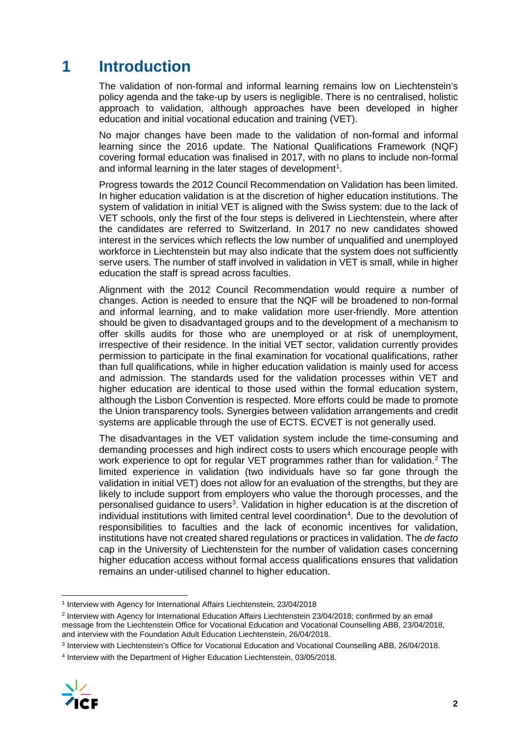# **1 Introduction**

The validation of non-formal and informal learning remains low on Liechtenstein's policy agenda and the take-up by users is negligible. There is no centralised, holistic approach to validation, although approaches have been developed in higher education and initial vocational education and training (VET).

No major changes have been made to the validation of non-formal and informal learning since the 2016 update. The National Qualifications Framework (NQF) covering formal education was finalised in 2017, with no plans to include non-formal and informal learning in the later stages of development $^{\text{1}}$  $^{\text{1}}$  $^{\text{1}}$ .

Progress towards the 2012 Council Recommendation on Validation has been limited. In higher education validation is at the discretion of higher education institutions. The system of validation in initial VET is aligned with the Swiss system: due to the lack of VET schools, only the first of the four steps is delivered in Liechtenstein, where after the candidates are referred to Switzerland. In 2017 no new candidates showed interest in the services which reflects the low number of unqualified and unemployed workforce in Liechtenstein but may also indicate that the system does not sufficiently serve users. The number of staff involved in validation in VET is small, while in higher education the staff is spread across faculties.

Alignment with the 2012 Council Recommendation would require a number of changes. Action is needed to ensure that the NQF will be broadened to non-formal and informal learning, and to make validation more user-friendly. More attention should be given to disadvantaged groups and to the development of a mechanism to offer skills audits for those who are unemployed or at risk of unemployment, irrespective of their residence. In the initial VET sector, validation currently provides permission to participate in the final examination for vocational qualifications, rather than full qualifications, while in higher education validation is mainly used for access and admission. The standards used for the validation processes within VET and higher education are identical to those used within the formal education system, although the Lisbon Convention is respected. More efforts could be made to promote the Union transparency tools. Synergies between validation arrangements and credit systems are applicable through the use of ECTS. ECVET is not generally used.

The disadvantages in the VET validation system include the time-consuming and demanding processes and high indirect costs to users which encourage people with work experience to opt for regular VET programmes rather than for validation.<sup>[2](#page-2-1)</sup> The limited experience in validation (two individuals have so far gone through the validation in initial VET) does not allow for an evaluation of the strengths, but they are likely to include support from employers who value the thorough processes, and the personalised guidance to users<sup>[3](#page-2-2)</sup>. Validation in higher education is at the discretion of individual institutions with limited central level coordination<sup>[4](#page-2-3)</sup>. Due to the devolution of responsibilities to faculties and the lack of economic incentives for validation, institutions have not created shared regulations or practices in validation. The *de facto* cap in the University of Liechtenstein for the number of validation cases concerning higher education access without formal access qualifications ensures that validation remains an under-utilised channel to higher education.

<span id="page-2-3"></span><span id="page-2-2"></span><sup>4</sup> Interview with the Department of Higher Education Liechtenstein, 03/05/2018.



<span id="page-2-0"></span> <sup>1</sup> Interview with Agency for International Affairs Liechtenstein, 23/04/2018

<span id="page-2-1"></span><sup>2</sup> Interview with Agency for International Education Affairs Liechtenstein 23/04/2018; confirmed by an email message from the Liechtenstein Office for Vocational Education and Vocational Counselling ABB, 23/04/2018, and interview with the Foundation Adult Education Liechtenstein, 26/04/2018.

<sup>3</sup> Interview with Liechtenstein's Office for Vocational Education and Vocational Counselling ABB, 26/04/2018.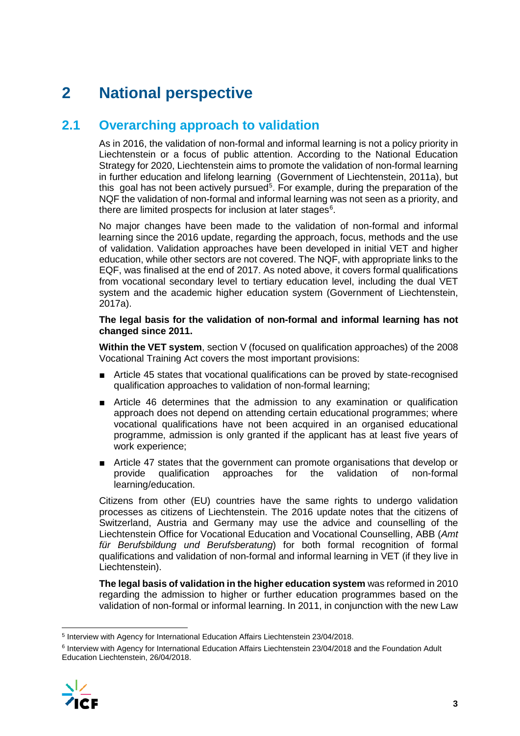# **2 National perspective**

## **2.1 Overarching approach to validation**

As in 2016, the validation of non-formal and informal learning is not a policy priority in Liechtenstein or a focus of public attention. According to the National Education Strategy for 2020, Liechtenstein aims to promote the validation of non-formal learning in further education and lifelong learning (Government of Liechtenstein, 2011a), but this goal has not been actively pursued<sup>[5](#page-3-0)</sup>. For example, during the preparation of the NQF the validation of non-formal and informal learning was not seen as a priority, and there are limited prospects for inclusion at later stages<sup>[6](#page-3-1)</sup>.

No major changes have been made to the validation of non-formal and informal learning since the 2016 update, regarding the approach, focus, methods and the use of validation. Validation approaches have been developed in initial VET and higher education, while other sectors are not covered. The NQF, with appropriate links to the EQF, was finalised at the end of 2017. As noted above, it covers formal qualifications from vocational secondary level to tertiary education level, including the dual VET system and the academic higher education system (Government of Liechtenstein, 2017a).

#### **The legal basis for the validation of non-formal and informal learning has not changed since 2011.**

**Within the VET system**, section V (focused on qualification approaches) of the 2008 Vocational Training Act covers the most important provisions:

- Article 45 states that vocational qualifications can be proved by state-recognised qualification approaches to validation of non-formal learning;
- Article 46 determines that the admission to any examination or qualification approach does not depend on attending certain educational programmes; where vocational qualifications have not been acquired in an organised educational programme, admission is only granted if the applicant has at least five years of work experience;
- Article 47 states that the government can promote organisations that develop or provide qualification approaches for the validation of non-formal learning/education.

Citizens from other (EU) countries have the same rights to undergo validation processes as citizens of Liechtenstein. The 2016 update notes that the citizens of Switzerland, Austria and Germany may use the advice and counselling of the Liechtenstein Office for Vocational Education and Vocational Counselling, ABB (*Amt für Berufsbildung und Berufsberatung*) for both formal recognition of formal qualifications and validation of non-formal and informal learning in VET (if they live in Liechtenstein).

**The legal basis of validation in the higher education system** was reformed in 2010 regarding the admission to higher or further education programmes based on the validation of non-formal or informal learning. In 2011, in conjunction with the new Law

<span id="page-3-1"></span><sup>6</sup> Interview with Agency for International Education Affairs Liechtenstein 23/04/2018 and the Foundation Adult Education Liechtenstein, 26/04/2018.



<span id="page-3-0"></span> <sup>5</sup> Interview with Agency for International Education Affairs Liechtenstein 23/04/2018.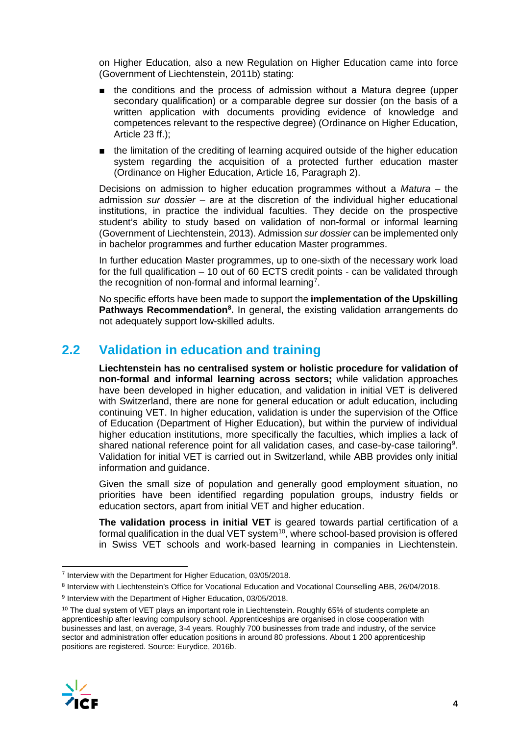on Higher Education, also a new Regulation on Higher Education came into force (Government of Liechtenstein, 2011b) stating:

- the conditions and the process of admission without a Matura degree (upper secondary qualification) or a comparable degree sur dossier (on the basis of a written application with documents providing evidence of knowledge and competences relevant to the respective degree) (Ordinance on Higher Education, Article 23 ff.);
- the limitation of the crediting of learning acquired outside of the higher education system regarding the acquisition of a protected further education master (Ordinance on Higher Education, Article 16, Paragraph 2).

Decisions on admission to higher education programmes without a *Matura* – the admission *sur dossier* – are at the discretion of the individual higher educational institutions, in practice the individual faculties. They decide on the prospective student's ability to study based on validation of non-formal or informal learning (Government of Liechtenstein, 2013). Admission *sur dossier* can be implemented only in bachelor programmes and further education Master programmes.

In further education Master programmes, up to one-sixth of the necessary work load for the full qualification – 10 out of 60 ECTS credit points - can be validated through the recognition of non-formal and informal learning<sup>[7](#page-4-0)</sup>.

No specific efforts have been made to support the **implementation of the Upskilling Pathways Recommendation[8](#page-4-1) .** In general, the existing validation arrangements do not adequately support low-skilled adults.

## **2.2 Validation in education and training**

**Liechtenstein has no centralised system or holistic procedure for validation of non-formal and informal learning across sectors;** while validation approaches have been developed in higher education, and validation in initial VET is delivered with Switzerland, there are none for general education or adult education, including continuing VET. In higher education, validation is under the supervision of the Office of Education (Department of Higher Education), but within the purview of individual higher education institutions, more specifically the faculties, which implies a lack of shared national reference point for all validation cases, and case-by-case tailoring $^9$  $^9$ . Validation for initial VET is carried out in Switzerland, while ABB provides only initial information and guidance.

Given the small size of population and generally good employment situation, no priorities have been identified regarding population groups, industry fields or education sectors, apart from initial VET and higher education.

**The validation process in initial VET** is geared towards partial certification of a formal qualification in the dual VET system $10$ , where school-based provision is offered in Swiss VET schools and work-based learning in companies in Liechtenstein.

<span id="page-4-3"></span><span id="page-4-2"></span> $10$  The dual system of VET plays an important role in Liechtenstein. Roughly 65% of students complete an apprenticeship after leaving compulsory school. Apprenticeships are organised in close cooperation with businesses and last, on average, 3-4 years. Roughly 700 businesses from trade and industry, of the service sector and administration offer education positions in around 80 professions. About 1 200 apprenticeship positions are registered. Source: Eurydice, 2016b.



<span id="page-4-0"></span> <sup>7</sup> Interview with the Department for Higher Education, 03/05/2018.

<span id="page-4-1"></span><sup>8</sup> Interview with Liechtenstein's Office for Vocational Education and Vocational Counselling ABB, 26/04/2018.

<sup>9</sup> Interview with the Department of Higher Education, 03/05/2018.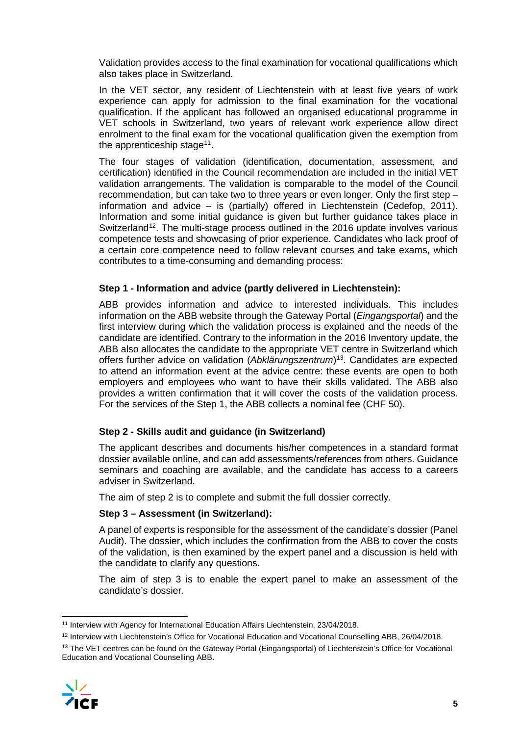Validation provides access to the final examination for vocational qualifications which also takes place in Switzerland.

In the VET sector, any resident of Liechtenstein with at least five years of work experience can apply for admission to the final examination for the vocational qualification. If the applicant has followed an organised educational programme in VET schools in Switzerland, two years of relevant work experience allow direct enrolment to the final exam for the vocational qualification given the exemption from the apprenticeship stage<sup>11</sup>.

The four stages of validation (identification, documentation, assessment, and certification) identified in the Council recommendation are included in the initial VET validation arrangements. The validation is comparable to the model of the Council recommendation, but can take two to three years or even longer. Only the first step – information and advice – is (partially) offered in Liechtenstein (Cedefop, 2011). Information and some initial guidance is given but further guidance takes place in Switzerland<sup>12</sup>. The multi-stage process outlined in the 2016 update involves various competence tests and showcasing of prior experience. Candidates who lack proof of a certain core competence need to follow relevant courses and take exams, which contributes to a time-consuming and demanding process:

#### **Step 1 - Information and advice (partly delivered in Liechtenstein):**

ABB provides information and advice to interested individuals. This includes information on the ABB website through the Gateway Portal (*Eingangsportal*) and the first interview during which the validation process is explained and the needs of the candidate are identified. Contrary to the information in the 2016 Inventory update, the ABB also allocates the candidate to the appropriate VET centre in Switzerland which offers further advice on validation (*Abklärungszentrum*)[13](#page-5-2). Candidates are expected to attend an information event at the advice centre: these events are open to both employers and employees who want to have their skills validated. The ABB also provides a written confirmation that it will cover the costs of the validation process. For the services of the Step 1, the ABB collects a nominal fee (CHF 50).

#### **Step 2 - Skills audit and guidance (in Switzerland)**

The applicant describes and documents his/her competences in a standard format dossier available online, and can add assessments/references from others. Guidance seminars and coaching are available, and the candidate has access to a careers adviser in Switzerland.

The aim of step 2 is to complete and submit the full dossier correctly.

#### **Step 3 – Assessment (in Switzerland):**

A panel of experts is responsible for the assessment of the candidate's dossier (Panel Audit). The dossier, which includes the confirmation from the ABB to cover the costs of the validation, is then examined by the expert panel and a discussion is held with the candidate to clarify any questions.

The aim of step 3 is to enable the expert panel to make an assessment of the candidate's dossier.

<span id="page-5-2"></span><span id="page-5-1"></span><sup>&</sup>lt;sup>13</sup> The VET centres can be found on the Gateway Portal (Eingangsportal) of Liechtenstein's Office for Vocational Education and Vocational Counselling ABB.



<span id="page-5-0"></span><sup>&</sup>lt;sup>11</sup> Interview with Agency for International Education Affairs Liechtenstein, 23/04/2018.

<sup>12</sup> Interview with Liechtenstein's Office for Vocational Education and Vocational Counselling ABB, 26/04/2018.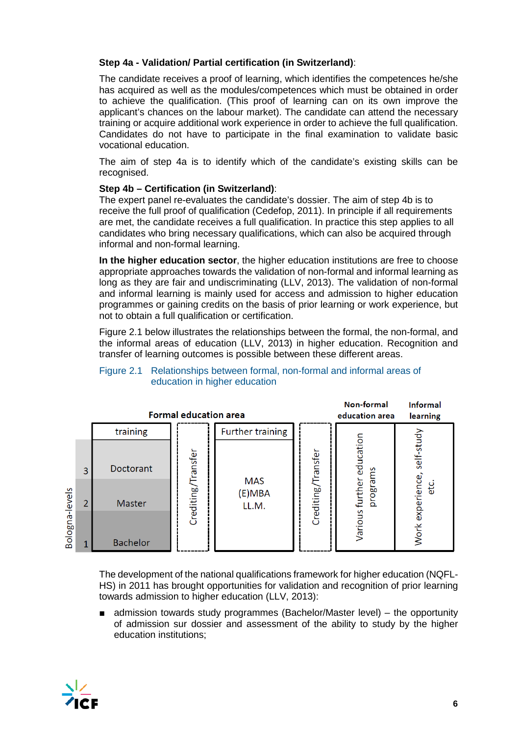#### **Step 4a - Validation/ Partial certification (in Switzerland)**:

The candidate receives a proof of learning, which identifies the competences he/she has acquired as well as the modules/competences which must be obtained in order to achieve the qualification. (This proof of learning can on its own improve the applicant's chances on the labour market). The candidate can attend the necessary training or acquire additional work experience in order to achieve the full qualification. Candidates do not have to participate in the final examination to validate basic vocational education.

The aim of step 4a is to identify which of the candidate's existing skills can be recognised.

#### **Step 4b – Certification (in Switzerland)**:

The expert panel re-evaluates the candidate's dossier. The aim of step 4b is to receive the full proof of qualification (Cedefop, 2011). In principle if all requirements are met, the candidate receives a full qualification. In practice this step applies to all candidates who bring necessary qualifications, which can also be acquired through informal and non-formal learning.

**In the higher education sector**, the higher education institutions are free to choose appropriate approaches towards the validation of non-formal and informal learning as long as they are fair and undiscriminating (LLV, 2013). The validation of non-formal and informal learning is mainly used for access and admission to higher education programmes or gaining credits on the basis of prior learning or work experience, but not to obtain a full qualification or certification.

Figure 2.1 below illustrates the relationships between the formal, the non-formal, and the informal areas of education (LLV, 2013) in higher education. Recognition and transfer of learning outcomes is possible between these different areas.



#### Figure 2.1 Relationships between formal, non-formal and informal areas of education in higher education

The development of the national qualifications framework for higher education (NQFL-HS) in 2011 has brought opportunities for validation and recognition of prior learning towards admission to higher education (LLV, 2013):

admission towards study programmes (Bachelor/Master level) – the opportunity of admission sur dossier and assessment of the ability to study by the higher education institutions;

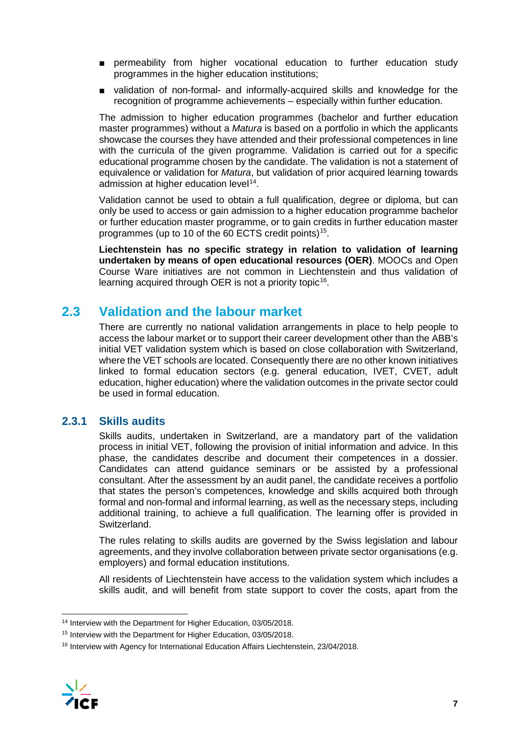- permeability from higher vocational education to further education study programmes in the higher education institutions;
- validation of non-formal- and informally-acquired skills and knowledge for the recognition of programme achievements – especially within further education.

The admission to higher education programmes (bachelor and further education master programmes) without a *Matura* is based on a portfolio in which the applicants showcase the courses they have attended and their professional competences in line with the curricula of the given programme. Validation is carried out for a specific educational programme chosen by the candidate. The validation is not a statement of equivalence or validation for *Matura*, but validation of prior acquired learning towards admission at higher education level<sup>14</sup>.

Validation cannot be used to obtain a full qualification, degree or diploma, but can only be used to access or gain admission to a higher education programme bachelor or further education master programme, or to gain credits in further education master programmes (up to 10 of the 60 ECTS credit points)<sup>[15](#page-7-1)</sup>.

**Liechtenstein has no specific strategy in relation to validation of learning undertaken by means of open educational resources (OER)**. MOOCs and Open Course Ware initiatives are not common in Liechtenstein and thus validation of learning acquired through OER is not a priority topic<sup>[16](#page-7-2)</sup>.

## **2.3 Validation and the labour market**

There are currently no national validation arrangements in place to help people to access the labour market or to support their career development other than the ABB's initial VET validation system which is based on close collaboration with Switzerland, where the VET schools are located. Consequently there are no other known initiatives linked to formal education sectors (e.g. general education, IVET, CVET, adult education, higher education) where the validation outcomes in the private sector could be used in formal education.

### **2.3.1 Skills audits**

Skills audits, undertaken in Switzerland, are a mandatory part of the validation process in initial VET, following the provision of initial information and advice. In this phase, the candidates describe and document their competences in a dossier. Candidates can attend guidance seminars or be assisted by a professional consultant. After the assessment by an audit panel, the candidate receives a portfolio that states the person's competences, knowledge and skills acquired both through formal and non-formal and informal learning, as well as the necessary steps, including additional training, to achieve a full qualification. The learning offer is provided in Switzerland.

The rules relating to skills audits are governed by the Swiss legislation and labour agreements, and they involve collaboration between private sector organisations (e.g. employers) and formal education institutions.

All residents of Liechtenstein have access to the validation system which includes a skills audit, and will benefit from state support to cover the costs, apart from the

<span id="page-7-2"></span><span id="page-7-1"></span><sup>&</sup>lt;sup>16</sup> Interview with Agency for International Education Affairs Liechtenstein, 23/04/2018.



<span id="page-7-0"></span> <sup>14</sup> Interview with the Department for Higher Education, 03/05/2018.

<sup>15</sup> Interview with the Department for Higher Education, 03/05/2018.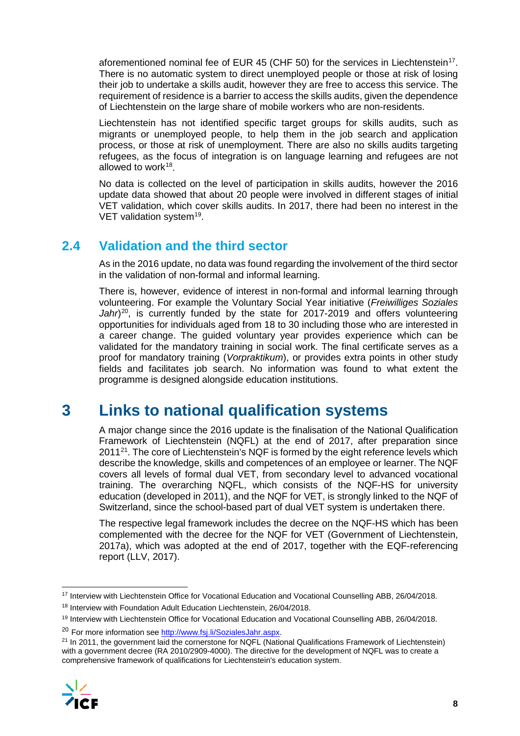aforementioned nominal fee of EUR 45 (CHF 50) for the services in Liechtenstein<sup>17</sup>. There is no automatic system to direct unemployed people or those at risk of losing their job to undertake a skills audit, however they are free to access this service. The requirement of residence is a barrier to access the skills audits, given the dependence of Liechtenstein on the large share of mobile workers who are non-residents.

Liechtenstein has not identified specific target groups for skills audits, such as migrants or unemployed people, to help them in the job search and application process, or those at risk of unemployment. There are also no skills audits targeting refugees, as the focus of integration is on language learning and refugees are not allowed to work<sup>18</sup>.

No data is collected on the level of participation in skills audits, however the 2016 update data showed that about 20 people were involved in different stages of initial VET validation, which cover skills audits. In 2017, there had been no interest in the VET validation system<sup>19</sup>.

## **2.4 Validation and the third sector**

As in the 2016 update, no data was found regarding the involvement of the third sector in the validation of non-formal and informal learning.

There is, however, evidence of interest in non-formal and informal learning through volunteering. For example the Voluntary Social Year initiative (*Freiwilliges Soziales*  Jahr<sup>20</sup>, is currently funded by the state for 2017-2019 and offers volunteering opportunities for individuals aged from 18 to 30 including those who are interested in a career change. The guided voluntary year provides experience which can be validated for the mandatory training in social work. The final certificate serves as a proof for mandatory training (*Vorpraktikum*), or provides extra points in other study fields and facilitates job search. No information was found to what extent the programme is designed alongside education institutions.

# **3 Links to national qualification systems**

A major change since the 2016 update is the finalisation of the National Qualification Framework of Liechtenstein (NQFL) at the end of 2017, after preparation since  $2011<sup>21</sup>$ . The core of Liechtenstein's NQF is formed by the eight reference levels which describe the knowledge, skills and competences of an employee or learner. The NQF covers all levels of formal dual VET, from secondary level to advanced vocational training. The overarching NQFL, which consists of the NQF-HS for university education (developed in 2011), and the NQF for VET, is strongly linked to the NQF of Switzerland, since the school-based part of dual VET system is undertaken there.

The respective legal framework includes the decree on the NQF-HS which has been complemented with the decree for the NQF for VET (Government of Liechtenstein, 2017a), which was adopted at the end of 2017, together with the EQF-referencing report (LLV, 2017).

<span id="page-8-4"></span><span id="page-8-3"></span><sup>&</sup>lt;sup>21</sup> In 2011, the government laid the cornerstone for NQFL (National Qualifications Framework of Liechtenstein) with a government decree (RA 2010/2909-4000). The directive for the development of NQFL was to create a comprehensive framework of qualifications for Liechtenstein's education system.



<span id="page-8-0"></span> <sup>17</sup> Interview with Liechtenstein Office for Vocational Education and Vocational Counselling ABB, 26/04/2018.

<span id="page-8-1"></span><sup>18</sup> Interview with Foundation Adult Education Liechtenstein, 26/04/2018.

<span id="page-8-2"></span><sup>19</sup> Interview with Liechtenstein Office for Vocational Education and Vocational Counselling ABB, 26/04/2018.

<sup>&</sup>lt;sup>20</sup> For more information see [http://www.fsj.li/SozialesJahr.aspx.](http://www.fsj.li/SozialesJahr.aspx)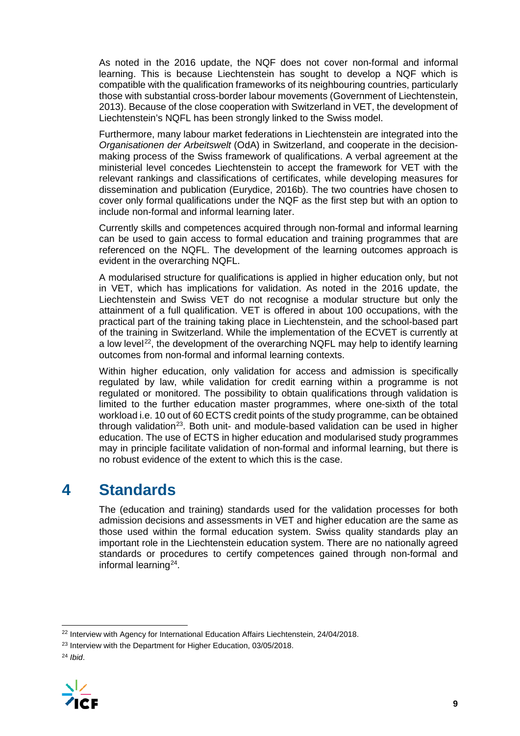As noted in the 2016 update, the NQF does not cover non-formal and informal learning. This is because Liechtenstein has sought to develop a NQF which is compatible with the qualification frameworks of its neighbouring countries, particularly those with substantial cross-border labour movements (Government of Liechtenstein, 2013). Because of the close cooperation with Switzerland in VET, the development of Liechtenstein's NQFL has been strongly linked to the Swiss model.

Furthermore, many labour market federations in Liechtenstein are integrated into the *Organisationen der Arbeitswelt* (OdA) in Switzerland, and cooperate in the decisionmaking process of the Swiss framework of qualifications. A verbal agreement at the ministerial level concedes Liechtenstein to accept the framework for VET with the relevant rankings and classifications of certificates, while developing measures for dissemination and publication (Eurydice, 2016b). The two countries have chosen to cover only formal qualifications under the NQF as the first step but with an option to include non-formal and informal learning later.

Currently skills and competences acquired through non-formal and informal learning can be used to gain access to formal education and training programmes that are referenced on the NQFL. The development of the learning outcomes approach is evident in the overarching NQFL.

A modularised structure for qualifications is applied in higher education only, but not in VET, which has implications for validation. As noted in the 2016 update, the Liechtenstein and Swiss VET do not recognise a modular structure but only the attainment of a full qualification. VET is offered in about 100 occupations, with the practical part of the training taking place in Liechtenstein, and the school-based part of the training in Switzerland. While the implementation of the ECVET is currently at a low level<sup>[22](#page-9-0)</sup>, the development of the overarching NQFL may help to identify learning outcomes from non-formal and informal learning contexts.

Within higher education, only validation for access and admission is specifically regulated by law, while validation for credit earning within a programme is not regulated or monitored. The possibility to obtain qualifications through validation is limited to the further education master programmes, where one-sixth of the total workload i.e. 10 out of 60 ECTS credit points of the study programme, can be obtained through validation<sup>23</sup>. Both unit- and module-based validation can be used in higher education. The use of ECTS in higher education and modularised study programmes may in principle facilitate validation of non-formal and informal learning, but there is no robust evidence of the extent to which this is the case.

# **4 Standards**

The (education and training) standards used for the validation processes for both admission decisions and assessments in VET and higher education are the same as those used within the formal education system. Swiss quality standards play an important role in the Liechtenstein education system. There are no nationally agreed standards or procedures to certify competences gained through non-formal and informal learning[24](#page-9-2).

<span id="page-9-2"></span><span id="page-9-1"></span><sup>24</sup> *Ibid*.



<span id="page-9-0"></span><sup>&</sup>lt;sup>22</sup> Interview with Agency for International Education Affairs Liechtenstein, 24/04/2018.

<sup>&</sup>lt;sup>23</sup> Interview with the Department for Higher Education, 03/05/2018.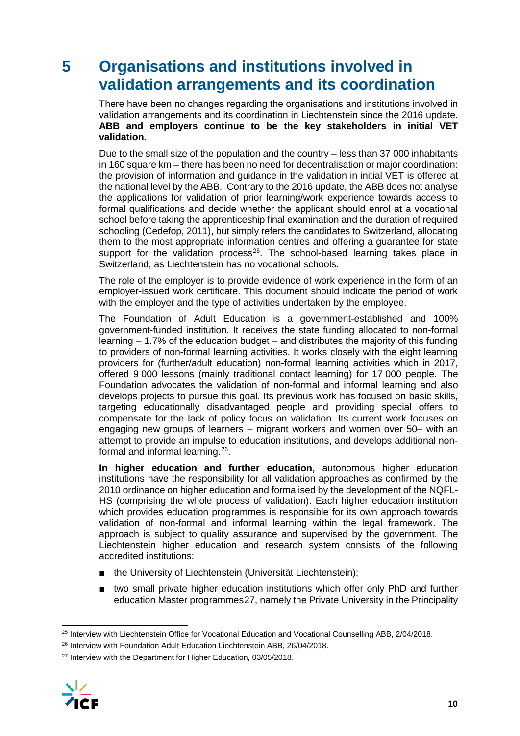# **5 Organisations and institutions involved in validation arrangements and its coordination**

There have been no changes regarding the organisations and institutions involved in validation arrangements and its coordination in Liechtenstein since the 2016 update. **ABB and employers continue to be the key stakeholders in initial VET validation.** 

Due to the small size of the population and the country – less than 37 000 inhabitants in 160 square km – there has been no need for decentralisation or major coordination: the provision of information and guidance in the validation in initial VET is offered at the national level by the ABB. Contrary to the 2016 update, the ABB does not analyse the applications for validation of prior learning/work experience towards access to formal qualifications and decide whether the applicant should enrol at a vocational school before taking the apprenticeship final examination and the duration of required schooling (Cedefop, 2011), but simply refers the candidates to Switzerland, allocating them to the most appropriate information centres and offering a guarantee for state support for the validation process<sup>25</sup>. The school-based learning takes place in Switzerland, as Liechtenstein has no vocational schools.

The role of the employer is to provide evidence of work experience in the form of an employer-issued work certificate. This document should indicate the period of work with the employer and the type of activities undertaken by the employee.

The Foundation of Adult Education is a government-established and 100% government-funded institution. It receives the state funding allocated to non-formal  $learning - 1.7%$  of the education budget – and distributes the majority of this funding to providers of non-formal learning activities. It works closely with the eight learning providers for (further/adult education) non-formal learning activities which in 2017, offered 9 000 lessons (mainly traditional contact learning) for 17 000 people. The Foundation advocates the validation of non-formal and informal learning and also develops projects to pursue this goal. Its previous work has focused on basic skills, targeting educationally disadvantaged people and providing special offers to compensate for the lack of policy focus on validation. Its current work focuses on engaging new groups of learners – migrant workers and women over 50– with an attempt to provide an impulse to education institutions, and develops additional nonformal and informal learning.[26](#page-10-1).

**In higher education and further education,** autonomous higher education institutions have the responsibility for all validation approaches as confirmed by the 2010 ordinance on higher education and formalised by the development of the NQFL-HS (comprising the whole process of validation). Each higher education institution which provides education programmes is responsible for its own approach towards validation of non-formal and informal learning within the legal framework. The approach is subject to quality assurance and supervised by the government. The Liechtenstein higher education and research system consists of the following accredited institutions:

- the University of Liechtenstein (Universität Liechtenstein);
- two small private higher education institutions which offer only PhD and further education Master programmes[27,](#page-10-2) namely the Private University in the Principality

<span id="page-10-2"></span><span id="page-10-1"></span><sup>&</sup>lt;sup>27</sup> Interview with the Department for Higher Education, 03/05/2018.



<span id="page-10-0"></span><sup>&</sup>lt;sup>25</sup> Interview with Liechtenstein Office for Vocational Education and Vocational Counselling ABB, 2/04/2018.

<sup>&</sup>lt;sup>26</sup> Interview with Foundation Adult Education Liechtenstein ABB, 26/04/2018.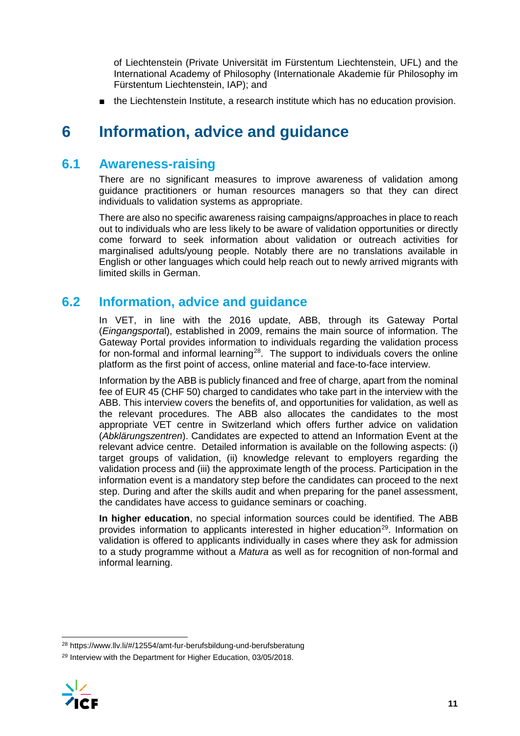of Liechtenstein (Private Universität im Fürstentum Liechtenstein, UFL) and the International Academy of Philosophy (Internationale Akademie für Philosophy im Fürstentum Liechtenstein, IAP); and

■ the Liechtenstein Institute, a research institute which has no education provision.

# **6 Information, advice and guidance**

## **6.1 Awareness-raising**

There are no significant measures to improve awareness of validation among guidance practitioners or human resources managers so that they can direct individuals to validation systems as appropriate.

There are also no specific awareness raising campaigns/approaches in place to reach out to individuals who are less likely to be aware of validation opportunities or directly come forward to seek information about validation or outreach activities for marginalised adults/young people. Notably there are no translations available in English or other languages which could help reach out to newly arrived migrants with limited skills in German.

## **6.2 Information, advice and guidance**

In VET, in line with the 2016 update, ABB, through its Gateway Portal (*Eingangsporta*l), established in 2009, remains the main source of information. The Gateway Portal provides information to individuals regarding the validation process for non-formal and informal learning[28.](#page-11-0) The support to individuals covers the online platform as the first point of access, online material and face-to-face interview.

Information by the ABB is publicly financed and free of charge, apart from the nominal fee of EUR 45 (CHF 50) charged to candidates who take part in the interview with the ABB. This interview covers the benefits of, and opportunities for validation, as well as the relevant procedures. The ABB also allocates the candidates to the most appropriate VET centre in Switzerland which offers further advice on validation (*Abklärungszentren*). Candidates are expected to attend an Information Event at the relevant advice centre. Detailed information is available on the following aspects: (i) target groups of validation, (ii) knowledge relevant to employers regarding the validation process and (iii) the approximate length of the process. Participation in the information event is a mandatory step before the candidates can proceed to the next step. During and after the skills audit and when preparing for the panel assessment, the candidates have access to guidance seminars or coaching.

**In higher education**, no special information sources could be identified. The ABB provides information to applicants interested in higher education<sup>29</sup>. Information on validation is offered to applicants individually in cases where they ask for admission to a study programme without a *Matura* as well as for recognition of non-formal and informal learning.

<span id="page-11-1"></span><span id="page-11-0"></span><sup>29</sup> Interview with the Department for Higher Education, 03/05/2018.



 <sup>28</sup> https://www.llv.li/#/12554/amt-fur-berufsbildung-und-berufsberatung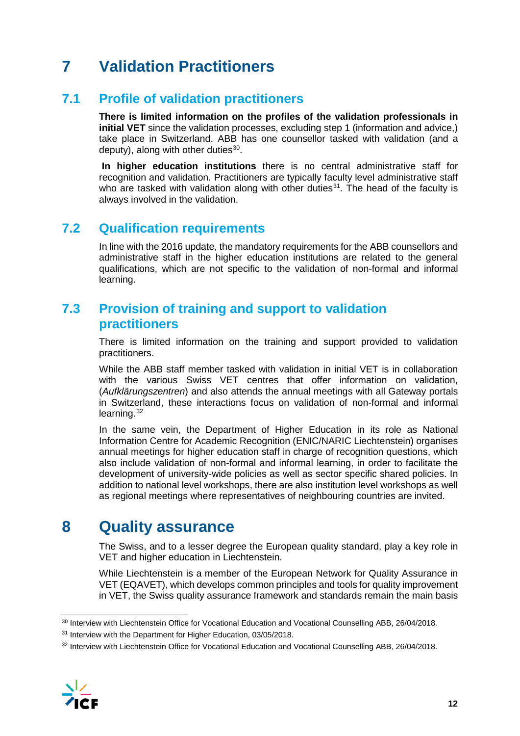# **7 Validation Practitioners**

## **7.1 Profile of validation practitioners**

**There is limited information on the profiles of the validation professionals in initial VET** since the validation processes, excluding step 1 (information and advice,) take place in Switzerland. ABB has one counsellor tasked with validation (and a deputy), along with other duties $30$ .

**In higher education institutions** there is no central administrative staff for recognition and validation. Practitioners are typically faculty level administrative staff who are tasked with validation along with other duties<sup>31</sup>. The head of the faculty is always involved in the validation.

## **7.2 Qualification requirements**

In line with the 2016 update, the mandatory requirements for the ABB counsellors and administrative staff in the higher education institutions are related to the general qualifications, which are not specific to the validation of non-formal and informal learning.

## **7.3 Provision of training and support to validation practitioners**

There is limited information on the training and support provided to validation practitioners.

While the ABB staff member tasked with validation in initial VET is in collaboration with the various Swiss VET centres that offer information on validation, (*Aufklärungszentren*) and also attends the annual meetings with all Gateway portals in Switzerland, these interactions focus on validation of non-formal and informal learning.<sup>[32](#page-12-2)</sup>

In the same vein, the Department of Higher Education in its role as National Information Centre for Academic Recognition (ENIC/NARIC Liechtenstein) organises annual meetings for higher education staff in charge of recognition questions, which also include validation of non-formal and informal learning, in order to facilitate the development of university-wide policies as well as sector specific shared policies. In addition to national level workshops, there are also institution level workshops as well as regional meetings where representatives of neighbouring countries are invited.

# **8 Quality assurance**

The Swiss, and to a lesser degree the European quality standard, play a key role in VET and higher education in Liechtenstein.

While Liechtenstein is a member of the European Network for Quality Assurance in VET (EQAVET), which develops common principles and tools for quality improvement in VET, the Swiss quality assurance framework and standards remain the main basis

<span id="page-12-2"></span><span id="page-12-1"></span><sup>32</sup> Interview with Liechtenstein Office for Vocational Education and Vocational Counselling ABB, 26/04/2018.



<span id="page-12-0"></span> <sup>30</sup> Interview with Liechtenstein Office for Vocational Education and Vocational Counselling ABB, 26/04/2018.

<sup>31</sup> Interview with the Department for Higher Education, 03/05/2018.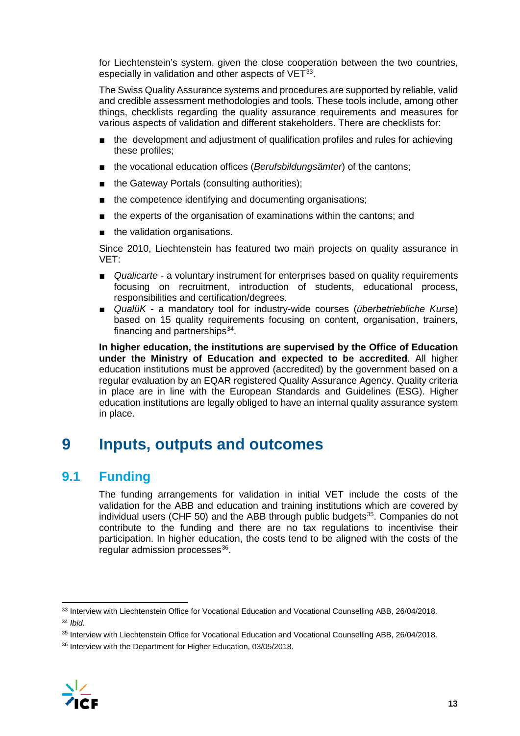for Liechtenstein's system, given the close cooperation between the two countries, especially in validation and other aspects of VET<sup>[33](#page-13-0)</sup>.

The Swiss Quality Assurance systems and procedures are supported by reliable, valid and credible assessment methodologies and tools. These tools include, among other things, checklists regarding the quality assurance requirements and measures for various aspects of validation and different stakeholders. There are checklists for:

- the development and adjustment of qualification profiles and rules for achieving these profiles;
- the vocational education offices (*Berufsbildungsämter*) of the cantons;
- the Gateway Portals (consulting authorities);
- the competence identifying and documenting organisations;
- the experts of the organisation of examinations within the cantons; and
- the validation organisations.

Since 2010, Liechtenstein has featured two main projects on quality assurance in VET:

- *Qualicarte* a voluntary instrument for enterprises based on quality requirements focusing on recruitment, introduction of students, educational process, responsibilities and certification/degrees.
- *QualüK* a mandatory tool for industry-wide courses (*überbetriebliche Kurse*) based on 15 quality requirements focusing on content, organisation, trainers, financing and partnerships $34$ .

**In higher education, the institutions are supervised by the Office of Education under the Ministry of Education and expected to be accredited**. All higher education institutions must be approved (accredited) by the government based on a regular evaluation by an EQAR registered Quality Assurance Agency. Quality criteria in place are in line with the European Standards and Guidelines (ESG). Higher education institutions are legally obliged to have an internal quality assurance system in place.

# **9 Inputs, outputs and outcomes**

## **9.1 Funding**

The funding arrangements for validation in initial VET include the costs of the validation for the ABB and education and training institutions which are covered by individual users (CHF 50) and the ABB through public budgets $35$ . Companies do not contribute to the funding and there are no tax regulations to incentivise their participation. In higher education, the costs tend to be aligned with the costs of the regular admission processes<sup>36</sup>.

<span id="page-13-3"></span><span id="page-13-2"></span><sup>36</sup> Interview with the Department for Higher Education, 03/05/2018.



<span id="page-13-0"></span><sup>33</sup> Interview with Liechtenstein Office for Vocational Education and Vocational Counselling ABB, 26/04/2018. <sup>34</sup> *Ibid.*

<span id="page-13-1"></span><sup>35</sup> Interview with Liechtenstein Office for Vocational Education and Vocational Counselling ABB, 26/04/2018.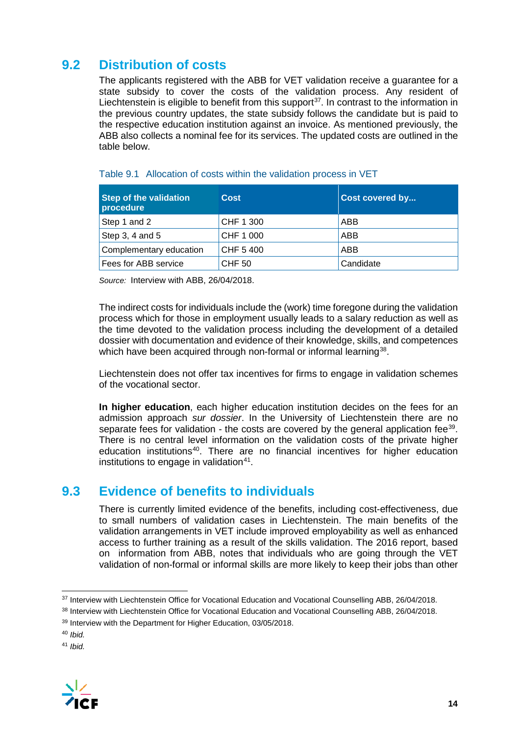## **9.2 Distribution of costs**

The applicants registered with the ABB for VET validation receive a guarantee for a state subsidy to cover the costs of the validation process. Any resident of Liechtenstein is eligible to benefit from this support<sup>37</sup>. In contrast to the information in the previous country updates, the state subsidy follows the candidate but is paid to the respective education institution against an invoice. As mentioned previously, the ABB also collects a nominal fee for its services. The updated costs are outlined in the table below.

| <b>Step of the validation</b><br>procedure | <b>Cost</b>   | Cost covered by |
|--------------------------------------------|---------------|-----------------|
| Step 1 and 2                               | CHF 1 300     | ABB             |
| Step 3, 4 and 5                            | CHF 1 000     | ABB             |
| Complementary education                    | CHF 5400      | ABB             |
| Fees for ABB service                       | <b>CHF 50</b> | Candidate       |

#### Table 9.1 Allocation of costs within the validation process in VET

*Source:* Interview with ABB, 26/04/2018.

The indirect costs for individuals include the (work) time foregone during the validation process which for those in employment usually leads to a salary reduction as well as the time devoted to the validation process including the development of a detailed dossier with documentation and evidence of their knowledge, skills, and competences which have been acquired through non-formal or informal learning<sup>38</sup>.

Liechtenstein does not offer tax incentives for firms to engage in validation schemes of the vocational sector.

**In higher education**, each higher education institution decides on the fees for an admission approach *sur dossier*. In the University of Liechtenstein there are no separate fees for validation - the costs are covered by the general application fee<sup>[39](#page-14-2)</sup>. There is no central level information on the validation costs of the private higher education institutions<sup>[40](#page-14-3)</sup>. There are no financial incentives for higher education institutions to engage in validation $41$ .

### **9.3 Evidence of benefits to individuals**

There is currently limited evidence of the benefits, including cost-effectiveness, due to small numbers of validation cases in Liechtenstein. The main benefits of the validation arrangements in VET include improved employability as well as enhanced access to further training as a result of the skills validation. The 2016 report, based on information from ABB, notes that individuals who are going through the VET validation of non-formal or informal skills are more likely to keep their jobs than other

<span id="page-14-4"></span><span id="page-14-3"></span><sup>41</sup> *Ibid.*



<span id="page-14-0"></span><sup>&</sup>lt;sup>37</sup> Interview with Liechtenstein Office for Vocational Education and Vocational Counselling ABB, 26/04/2018.

<span id="page-14-1"></span><sup>38</sup> Interview with Liechtenstein Office for Vocational Education and Vocational Counselling ABB, 26/04/2018.

<span id="page-14-2"></span><sup>&</sup>lt;sup>39</sup> Interview with the Department for Higher Education, 03/05/2018.

<sup>40</sup> *Ibid.*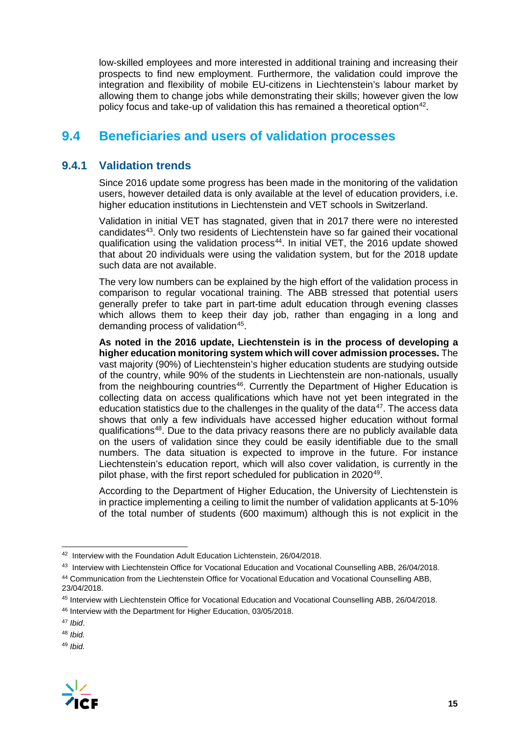low-skilled employees and more interested in additional training and increasing their prospects to find new employment. Furthermore, the validation could improve the integration and flexibility of mobile EU-citizens in Liechtenstein's labour market by allowing them to change jobs while demonstrating their skills; however given the low policy focus and take-up of validation this has remained a theoretical option<sup>42</sup>.

## **9.4 Beneficiaries and users of validation processes**

### **9.4.1 Validation trends**

Since 2016 update some progress has been made in the monitoring of the validation users, however detailed data is only available at the level of education providers, i.e. higher education institutions in Liechtenstein and VET schools in Switzerland.

Validation in initial VET has stagnated, given that in 2017 there were no interested candidates<sup>43</sup>. Only two residents of Liechtenstein have so far gained their vocational qualification using the validation process<sup>44</sup>. In initial VET, the 2016 update showed that about 20 individuals were using the validation system, but for the 2018 update such data are not available.

The very low numbers can be explained by the high effort of the validation process in comparison to regular vocational training. The ABB stressed that potential users generally prefer to take part in part-time adult education through evening classes which allows them to keep their day job, rather than engaging in a long and demanding process of validation<sup>[45](#page-15-3)</sup>.

**As noted in the 2016 update, Liechtenstein is in the process of developing a higher education monitoring system which will cover admission processes.** The vast majority (90%) of Liechtenstein's higher education students are studying outside of the country, while 90% of the students in Liechtenstein are non-nationals, usually from the neighbouring countries<sup>46</sup>. Currently the Department of Higher Education is collecting data on access qualifications which have not yet been integrated in the education statistics due to the challenges in the quality of the data<sup>47</sup>. The access data shows that only a few individuals have accessed higher education without formal qualifications[48](#page-15-6). Due to the data privacy reasons there are no publicly available data on the users of validation since they could be easily identifiable due to the small numbers. The data situation is expected to improve in the future. For instance Liechtenstein's education report, which will also cover validation, is currently in the pilot phase, with the first report scheduled for publication in 2020<sup>[49](#page-15-7)</sup>.

According to the Department of Higher Education, the University of Liechtenstein is in practice implementing a ceiling to limit the number of validation applicants at 5-10% of the total number of students (600 maximum) although this is not explicit in the

<span id="page-15-7"></span><span id="page-15-6"></span><sup>49</sup> *Ibid.*



<span id="page-15-0"></span> <sup>42</sup> Interview with the Foundation Adult Education Lichtenstein, 26/04/2018.

<span id="page-15-1"></span><sup>43</sup> Interview with Liechtenstein Office for Vocational Education and Vocational Counselling ABB, 26/04/2018.

<span id="page-15-2"></span><sup>44</sup> Communication from the Liechtenstein Office for Vocational Education and Vocational Counselling ABB, 23/04/2018.

<span id="page-15-3"></span><sup>45</sup> Interview with Liechtenstein Office for Vocational Education and Vocational Counselling ABB, 26/04/2018.

<span id="page-15-4"></span><sup>46</sup> Interview with the Department for Higher Education, 03/05/2018.

<span id="page-15-5"></span><sup>47</sup> *Ibid*.

<sup>48</sup> *Ibid.*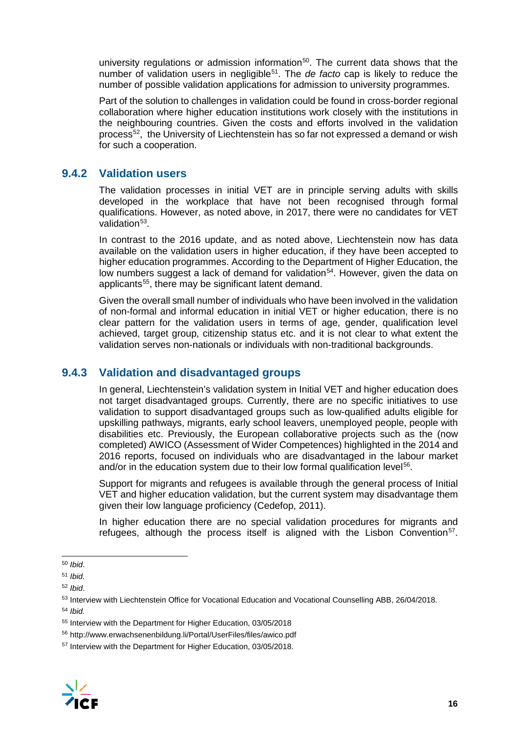university regulations or admission information<sup>[50](#page-16-0)</sup>. The current data shows that the number of validation users in negligible[51.](#page-16-1) The *de facto* cap is likely to reduce the number of possible validation applications for admission to university programmes.

Part of the solution to challenges in validation could be found in cross-border regional collaboration where higher education institutions work closely with the institutions in the neighbouring countries. Given the costs and efforts involved in the validation process<sup>[52](#page-16-2)</sup>, the University of Liechtenstein has so far not expressed a demand or wish for such a cooperation.

### **9.4.2 Validation users**

The validation processes in initial VET are in principle serving adults with skills developed in the workplace that have not been recognised through formal qualifications. However, as noted above, in 2017, there were no candidates for VET validation $53$ .

In contrast to the 2016 update, and as noted above, Liechtenstein now has data available on the validation users in higher education, if they have been accepted to higher education programmes. According to the Department of Higher Education, the low numbers suggest a lack of demand for validation<sup>54</sup>. However, given the data on applicants<sup>[55](#page-16-5)</sup>, there may be significant latent demand.

Given the overall small number of individuals who have been involved in the validation of non-formal and informal education in initial VET or higher education, there is no clear pattern for the validation users in terms of age, gender, qualification level achieved, target group, citizenship status etc. and it is not clear to what extent the validation serves non-nationals or individuals with non-traditional backgrounds.

### **9.4.3 Validation and disadvantaged groups**

In general, Liechtenstein's validation system in Initial VET and higher education does not target disadvantaged groups. Currently, there are no specific initiatives to use validation to support disadvantaged groups such as low-qualified adults eligible for upskilling pathways, migrants, early school leavers, unemployed people, people with disabilities etc. Previously, the European collaborative projects such as the (now completed) AWICO (Assessment of Wider Competences) highlighted in the 2014 and 2016 reports, focused on individuals who are disadvantaged in the labour market and/or in the education system due to their low formal qualification level<sup>56</sup>.

Support for migrants and refugees is available through the general process of Initial VET and higher education validation, but the current system may disadvantage them given their low language proficiency (Cedefop, 2011).

In higher education there are no special validation procedures for migrants and refugees, although the process itself is aligned with the Lisbon Convention<sup>[57](#page-16-7)</sup>.

<span id="page-16-7"></span><span id="page-16-6"></span><sup>57</sup> Interview with the Department for Higher Education, 03/05/2018.



<span id="page-16-0"></span> <sup>50</sup> *Ibid*.

<span id="page-16-1"></span><sup>51</sup> *Ibid.*

<span id="page-16-2"></span><sup>52</sup> *Ibid*.

<span id="page-16-3"></span><sup>53</sup> Interview with Liechtenstein Office for Vocational Education and Vocational Counselling ABB, 26/04/2018.

<span id="page-16-4"></span><sup>54</sup> *Ibid.*

<span id="page-16-5"></span><sup>55</sup> Interview with the Department for Higher Education, 03/05/2018

<sup>56</sup> http://www.erwachsenenbildung.li/Portal/UserFiles/files/awico.pdf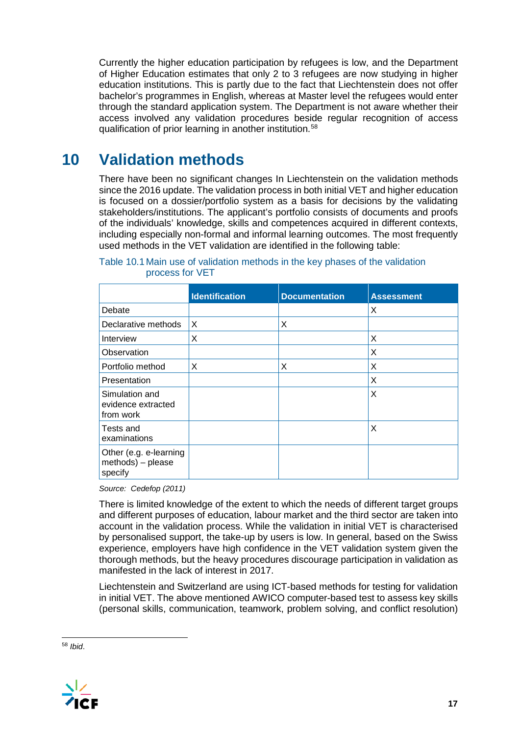Currently the higher education participation by refugees is low, and the Department of Higher Education estimates that only 2 to 3 refugees are now studying in higher education institutions. This is partly due to the fact that Liechtenstein does not offer bachelor's programmes in English, whereas at Master level the refugees would enter through the standard application system. The Department is not aware whether their access involved any validation procedures beside regular recognition of access qualification of prior learning in another institution.<sup>[58](#page-17-0)</sup>

# **10 Validation methods**

There have been no significant changes In Liechtenstein on the validation methods since the 2016 update. The validation process in both initial VET and higher education is focused on a dossier/portfolio system as a basis for decisions by the validating stakeholders/institutions. The applicant's portfolio consists of documents and proofs of the individuals' knowledge, skills and competences acquired in different contexts, including especially non-formal and informal learning outcomes. The most frequently used methods in the VET validation are identified in the following table:

|                                                           | <b>Identification</b> | <b>Documentation</b> | <b>Assessment</b> |
|-----------------------------------------------------------|-----------------------|----------------------|-------------------|
| Debate                                                    |                       |                      | X                 |
| Declarative methods                                       | X                     | X                    |                   |
| Interview                                                 | X                     |                      | X                 |
| Observation                                               |                       |                      | X                 |
| Portfolio method                                          | X                     | X                    | X                 |
| Presentation                                              |                       |                      | X                 |
| Simulation and<br>evidence extracted<br>from work         |                       |                      | X                 |
| Tests and<br>examinations                                 |                       |                      | X                 |
| Other (e.g. e-learning<br>$methods$ ) – please<br>specify |                       |                      |                   |

Table 10.1 Main use of validation methods in the key phases of the validation process for VET

*Source: Cedefop (2011)*

There is limited knowledge of the extent to which the needs of different target groups and different purposes of education, labour market and the third sector are taken into account in the validation process. While the validation in initial VET is characterised by personalised support, the take-up by users is low. In general, based on the Swiss experience, employers have high confidence in the VET validation system given the thorough methods, but the heavy procedures discourage participation in validation as manifested in the lack of interest in 2017.

Liechtenstein and Switzerland are using ICT-based methods for testing for validation in initial VET. The above mentioned AWICO computer-based test to assess key skills (personal skills, communication, teamwork, problem solving, and conflict resolution)

<span id="page-17-0"></span> <sup>58</sup> *Ibid*.

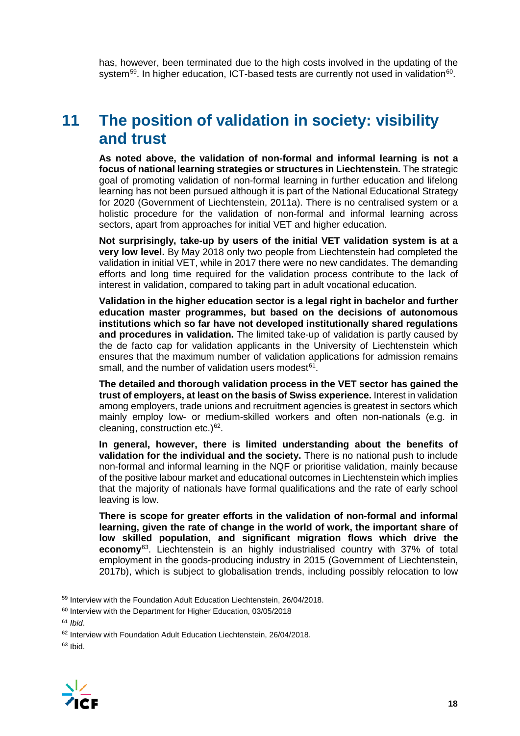has, however, been terminated due to the high costs involved in the updating of the system<sup>59</sup>. In higher education, ICT-based tests are currently not used in validation<sup>60</sup>.

# **11 The position of validation in society: visibility and trust**

**As noted above, the validation of non-formal and informal learning is not a focus of national learning strategies or structures in Liechtenstein.** The strategic goal of promoting validation of non-formal learning in further education and lifelong learning has not been pursued although it is part of the National Educational Strategy for 2020 (Government of Liechtenstein, 2011a). There is no centralised system or a holistic procedure for the validation of non-formal and informal learning across sectors, apart from approaches for initial VET and higher education.

**Not surprisingly, take-up by users of the initial VET validation system is at a very low level.** By May 2018 only two people from Liechtenstein had completed the validation in initial VET, while in 2017 there were no new candidates. The demanding efforts and long time required for the validation process contribute to the lack of interest in validation, compared to taking part in adult vocational education.

**Validation in the higher education sector is a legal right in bachelor and further education master programmes, but based on the decisions of autonomous institutions which so far have not developed institutionally shared regulations and procedures in validation.** The limited take-up of validation is partly caused by the de facto cap for validation applicants in the University of Liechtenstein which ensures that the maximum number of validation applications for admission remains small, and the number of validation users modest $61$ .

**The detailed and thorough validation process in the VET sector has gained the trust of employers, at least on the basis of Swiss experience.** Interest in validation among employers, trade unions and recruitment agencies is greatest in sectors which mainly employ low- or medium-skilled workers and often non-nationals (e.g. in cleaning, construction etc.)<sup>62</sup>.

**In general, however, there is limited understanding about the benefits of validation for the individual and the society.** There is no national push to include non-formal and informal learning in the NQF or prioritise validation, mainly because of the positive labour market and educational outcomes in Liechtenstein which implies that the majority of nationals have formal qualifications and the rate of early school leaving is low.

**There is scope for greater efforts in the validation of non-formal and informal learning, given the rate of change in the world of work, the important share of low skilled population, and significant migration flows which drive the economy**[63](#page-18-4). Liechtenstein is an highly industrialised country with 37% of total employment in the goods-producing industry in 2015 (Government of Liechtenstein, 2017b), which is subject to globalisation trends, including possibly relocation to low

<span id="page-18-4"></span><span id="page-18-3"></span> $63$  Ibid.



<span id="page-18-0"></span> <sup>59</sup> Interview with the Foundation Adult Education Liechtenstein, 26/04/2018.

<span id="page-18-1"></span><sup>60</sup> Interview with the Department for Higher Education, 03/05/2018

<span id="page-18-2"></span><sup>61</sup> *Ibid*.

<sup>&</sup>lt;sup>62</sup> Interview with Foundation Adult Education Liechtenstein, 26/04/2018.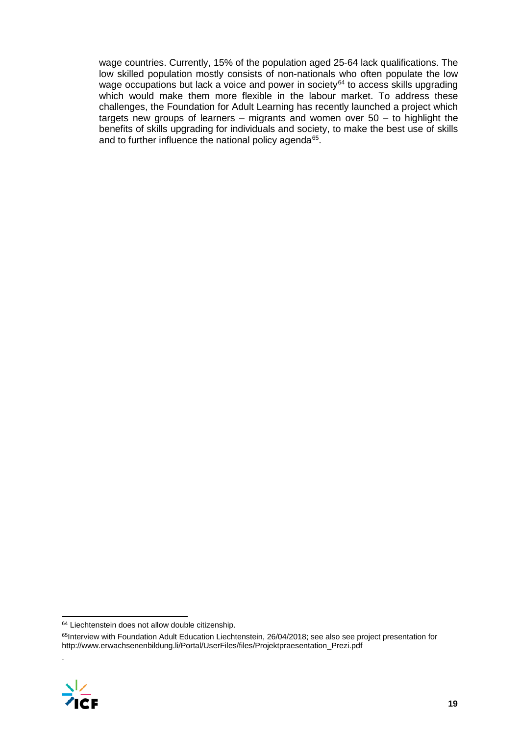wage countries. Currently, 15% of the population aged 25-64 lack qualifications. The low skilled population mostly consists of non-nationals who often populate the low wage occupations but lack a voice and power in society<sup>[64](#page-19-0)</sup> to access skills upgrading which would make them more flexible in the labour market. To address these challenges, the Foundation for Adult Learning has recently launched a project which targets new groups of learners – migrants and women over 50 – to highlight the benefits of skills upgrading for individuals and society, to make the best use of skills and to further influence the national policy agenda<sup>[65](#page-19-1)</sup>.

<span id="page-19-1"></span><span id="page-19-0"></span><sup>&</sup>lt;sup>65</sup>Interview with Foundation Adult Education Liechtenstein, 26/04/2018; see also see project presentation for http://www.erwachsenenbildung.li/Portal/UserFiles/files/Projektpraesentation\_Prezi.pdf



.

 <sup>64</sup> Liechtenstein does not allow double citizenship.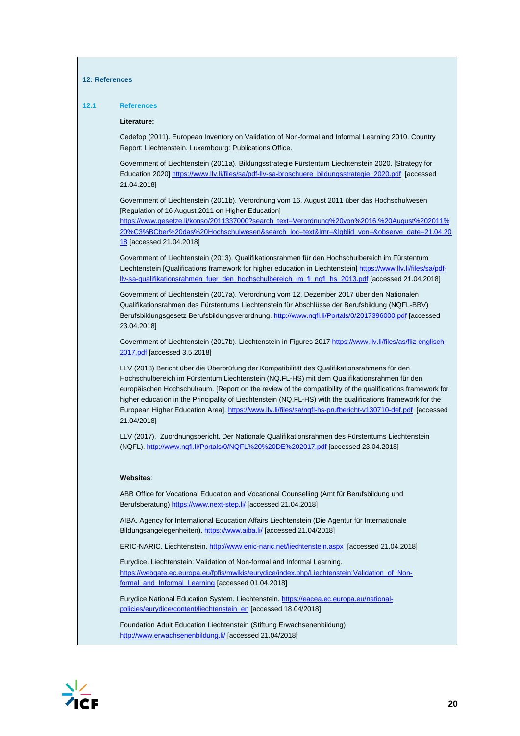#### **12: References**

#### **12.1 References**

#### **Literature:**

Cedefop (2011). European Inventory on Validation of Non-formal and Informal Learning 2010. Country Report: Liechtenstein. Luxembourg: Publications Office.

Government of Liechtenstein (2011a). Bildungsstrategie Fürstentum Liechtenstein 2020. [Strategy for Education 2020[\] https://www.llv.li/files/sa/pdf-llv-sa-broschuere\\_bildungsstrategie\\_2020.pdf](https://www.llv.li/files/sa/pdf-llv-sa-broschuere_bildungsstrategie_2020.pdf) [accessed 21.04.2018]

Government of Liechtenstein (2011b). Verordnung vom 16. August 2011 über das Hochschulwesen [Regulation of 16 August 2011 on Higher Education]

[https://www.gesetze.li/konso/2011337000?search\\_text=Verordnung%20von%2016.%20August%202011%](https://www.gesetze.li/konso/2011337000?search_text=Verordnung%20von%2016.%20August%202011%20%C3%BCber%20das%20Hochschulwesen&search_loc=text&lrnr=&lgblid_von=&observe_date=21.04.2018) [20%C3%BCber%20das%20Hochschulwesen&search\\_loc=text&lrnr=&lgblid\\_von=&observe\\_date=21.04.20](https://www.gesetze.li/konso/2011337000?search_text=Verordnung%20von%2016.%20August%202011%20%C3%BCber%20das%20Hochschulwesen&search_loc=text&lrnr=&lgblid_von=&observe_date=21.04.2018) [18](https://www.gesetze.li/konso/2011337000?search_text=Verordnung%20von%2016.%20August%202011%20%C3%BCber%20das%20Hochschulwesen&search_loc=text&lrnr=&lgblid_von=&observe_date=21.04.2018) [accessed 21.04.2018]

Government of Liechtenstein (2013). Qualifikationsrahmen für den Hochschulbereich im Fürstentum Liechtenstein [Qualifications framework for higher education in Liechtenstein[\] https://www.llv.li/files/sa/pdf](https://www.llv.li/files/sa/pdf-llv-sa-qualifikationsrahmen_fuer_den_hochschulbereich_im_fl_nqfl_hs_2013.pdf)[llv-sa-qualifikationsrahmen\\_fuer\\_den\\_hochschulbereich\\_im\\_fl\\_nqfl\\_hs\\_2013.pdf](https://www.llv.li/files/sa/pdf-llv-sa-qualifikationsrahmen_fuer_den_hochschulbereich_im_fl_nqfl_hs_2013.pdf) [accessed 21.04.2018]

Government of Liechtenstein (2017a). Verordnung vom 12. Dezember 2017 über den Nationalen Qualifikationsrahmen des Fürstentums Liechtenstein für Abschlüsse der Berufsbildung (NQFL-BBV) Berufsbildungsgesetz Berufsbildungsverordnung[. http://www.nqfl.li/Portals/0/2017396000.pdf](http://www.nqfl.li/Portals/0/2017396000.pdf) [accessed 23.04.2018]

Government of Liechtenstein (2017b). Liechtenstein in Figures 201[7 https://www.llv.li/files/as/fliz-englisch-](https://www.llv.li/files/as/fliz-englisch-2017.pdf)[2017.pdf](https://www.llv.li/files/as/fliz-englisch-2017.pdf) [accessed 3.5.2018]

LLV (2013) Bericht über die Überprüfung der Kompatibilität des Qualifikationsrahmens für den Hochschulbereich im Fürstentum Liechtenstein (NQ.FL-HS) mit dem Qualifikationsrahmen für den europäischen Hochschulraum. [Report on the review of the compatibility of the qualifications framework for higher education in the Principality of Liechtenstein (NQ.FL-HS) with the qualifications framework for the European Higher Education Area][. https://www.llv.li/files/sa/nqfl-hs-prufbericht-v130710-def.pdf](https://www.llv.li/files/sa/nqfl-hs-prufbericht-v130710-def.pdf) [accessed 21.04/2018]

LLV (2017). Zuordnungsbericht. Der Nationale Qualifikationsrahmen des Fürstentums Liechtenstein (NQFL)[. http://www.nqfl.li/Portals/0/NQFL%20%20DE%202017.pdf](http://www.nqfl.li/Portals/0/NQFL%20%20DE%202017.pdf) [accessed 23.04.2018]

#### **Websites**:

ABB Office for Vocational Education and Vocational Counselling (Amt für Berufsbildung und Berufsberatung[\) https://www.next-step.li/](https://www.next-step.li/) [accessed 21.04.2018]

AIBA. Agency for International Education Affairs Liechtenstein (Die Agentur für Internationale Bildungsangelegenheiten)[. https://www.aiba.li/](https://www.aiba.li/) [accessed 21.04/2018]

ERIC-NARIC. Liechtenstein.<http://www.enic-naric.net/liechtenstein.aspx>[accessed 21.04.2018]

Eurydice. Liechtenstein: Validation of Non-formal and Informal Learning. [https://webgate.ec.europa.eu/fpfis/mwikis/eurydice/index.php/Liechtenstein:Validation\\_of\\_Non](https://webgate.ec.europa.eu/fpfis/mwikis/eurydice/index.php/Liechtenstein:Validation_of_Non-formal_and_Informal_Learning)[formal\\_and\\_Informal\\_Learning](https://webgate.ec.europa.eu/fpfis/mwikis/eurydice/index.php/Liechtenstein:Validation_of_Non-formal_and_Informal_Learning) [accessed 01.04.2018]

Eurydice National Education System. Liechtenstein[. https://eacea.ec.europa.eu/national](https://eacea.ec.europa.eu/national-policies/eurydice/content/liechtenstein_en)[policies/eurydice/content/liechtenstein\\_en](https://eacea.ec.europa.eu/national-policies/eurydice/content/liechtenstein_en) [accessed 18.04/2018]

Foundation Adult Education Liechtenstein (Stiftung Erwachsenenbildung) <http://www.erwachsenenbildung.li/> [accessed 21.04/2018]